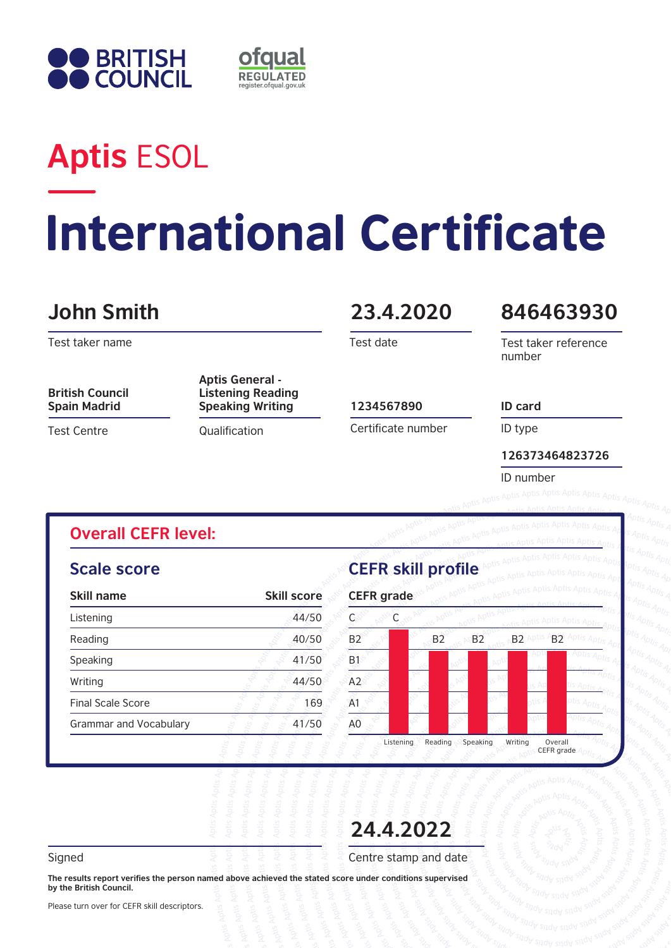



## **Aptis** ESOL

# **International Certificate**

### **John Smith 23.4.2020**

Test taker name

**British Council Spain Madrid**

Test Centre

**Aptis General - Listening Reading Speaking Writing 1234567890** 

**Qualification** 

Test date

#### **846463930**

Test taker reference number

Certificate number

ID type

**126373464823726**

ID number

**ID card**

#### **Overall CEFR level:**

#### **Scale score**

| Skill name                    | <b>Skill score</b> |  |
|-------------------------------|--------------------|--|
| Listening                     | 44/50              |  |
| Reading                       | 40/50              |  |
| Speaking                      | 41/50              |  |
| Writing                       | 44/50              |  |
| <b>Final Scale Score</b>      | 169                |  |
| <b>Grammar and Vocabulary</b> | 41/50              |  |
|                               |                    |  |

**CEFR skill profile**



**24.4.2022**

Signed Signed  $\overline{z}$   $\overline{z}$   $\overline{z}$   $\overline{z}$   $\overline{z}$   $\overline{z}$   $\overline{z}$   $\overline{z}$  and date

**The results report verifies the person named above achieved the stated score under conditions supervised by the British Council.** 

Please turn over for CEFR skill descriptors.